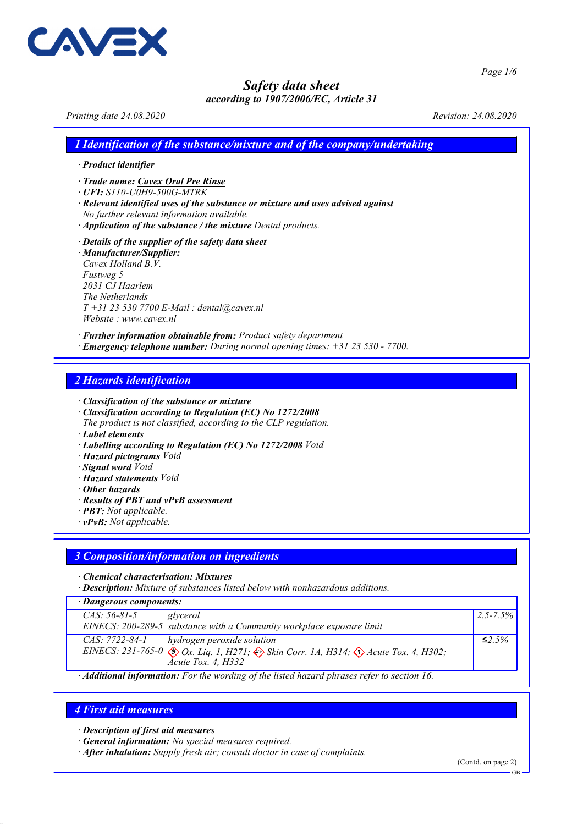

*Page 1/6*

*Safety data sheet*

# *according to 1907/2006/EC, Article 31*

*Printing date 24.08.2020 Revision: 24.08.2020*

- *1 Identification of the substance/mixture and of the company/undertaking*
- *· Product identifier*
- *· Trade name: Cavex Oral Pre Rinse*
- *· UFI: S110-U0H9-500G-MTRK*
- *· Relevant identified uses of the substance or mixture and uses advised against No further relevant information available.*
- *· Application of the substance / the mixture Dental products.*

*· Details of the supplier of the safety data sheet*

*· Manufacturer/Supplier: Cavex Holland B.V. Fustweg 5 2031 CJ Haarlem The Netherlands T +31 23 530 7700 E-Mail : dental@cavex.nl Website : www.cavex.nl*

*· Further information obtainable from: Product safety department · Emergency telephone number: During normal opening times: +31 23 530 - 7700.*

# *2 Hazards identification*

*· Classification of the substance or mixture*

*· Classification according to Regulation (EC) No 1272/2008*

*The product is not classified, according to the CLP regulation.*

- *· Label elements*
- *· Labelling according to Regulation (EC) No 1272/2008 Void*
- *· Hazard pictograms Void*
- *· Signal word Void*
- *· Hazard statements Void*
- *· Other hazards*
- *· Results of PBT and vPvB assessment*
- *· PBT: Not applicable.*
- *· vPvB: Not applicable.*

### *3 Composition/information on ingredients*

*· Chemical characterisation: Mixtures*

*· Description: Mixture of substances listed below with nonhazardous additions.*

*· Dangerous components:*

| $CAS: 56-81-5$                                                                                                                                                                                                                                                                                | glycerol                                                                                                   | $ 2.5 - 7.5\% $ |  |
|-----------------------------------------------------------------------------------------------------------------------------------------------------------------------------------------------------------------------------------------------------------------------------------------------|------------------------------------------------------------------------------------------------------------|-----------------|--|
|                                                                                                                                                                                                                                                                                               | EINECS: 200-289-5 substance with a Community workplace exposure limit                                      |                 |  |
| CAS: 7722-84-1                                                                                                                                                                                                                                                                                | $\vert$ hydrogen peroxide solution                                                                         | $\leq 2.5\%$    |  |
|                                                                                                                                                                                                                                                                                               | EINECS: 231-765-0 $\otimes$ Ox. Liq. 1, H271; $\otimes$ Skin Corr. 1A, H314; $\otimes$ Acute Tox. 4, H302; |                 |  |
|                                                                                                                                                                                                                                                                                               | $\vert$ Ácute Tox. 4, H332                                                                                 |                 |  |
| $\ell$ , $\ell$ , $\ell$ , $\ell$ , $\ell$ , $\ell$ , $\ell$ , $\ell$ , $\ell$ , $\ell$ , $\ell$ , $\ell$ , $\ell$ , $\ell$ , $\ell$ , $\ell$ , $\ell$ , $\ell$ , $\ell$ , $\ell$ , $\ell$ , $\ell$ , $\ell$ , $\ell$ , $\ell$ , $\ell$ , $\ell$ , $\ell$ , $\ell$ , $\ell$ , $\ell$ , $\ell$ |                                                                                                            |                 |  |

*· Additional information: For the wording of the listed hazard phrases refer to section 16.*

### *4 First aid measures*

*· Description of first aid measures*

- *· General information: No special measures required.*
- *· After inhalation: Supply fresh air; consult doctor in case of complaints.*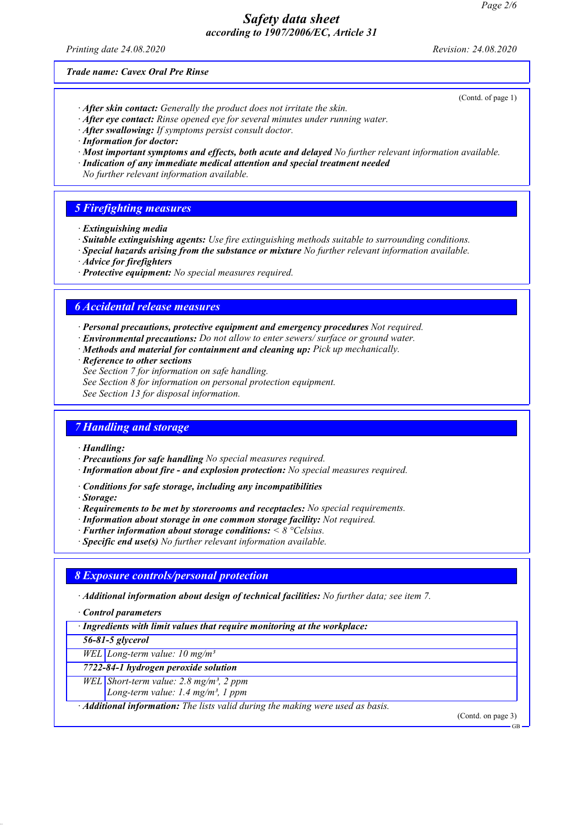*Printing date 24.08.2020 Revision: 24.08.2020*

(Contd. of page 1)

*Trade name: Cavex Oral Pre Rinse*

- *· After skin contact: Generally the product does not irritate the skin.*
- *· After eye contact: Rinse opened eye for several minutes under running water.*
- *· After swallowing: If symptoms persist consult doctor.*
- *· Information for doctor:*
- *· Most important symptoms and effects, both acute and delayed No further relevant information available.*
- *· Indication of any immediate medical attention and special treatment needed*
- *No further relevant information available.*

### *5 Firefighting measures*

- *· Extinguishing media*
- *· Suitable extinguishing agents: Use fire extinguishing methods suitable to surrounding conditions.*
- *· Special hazards arising from the substance or mixture No further relevant information available.*
- *· Advice for firefighters*
- *· Protective equipment: No special measures required.*

### *6 Accidental release measures*

- *· Personal precautions, protective equipment and emergency procedures Not required.*
- *· Environmental precautions: Do not allow to enter sewers/ surface or ground water.*
- *· Methods and material for containment and cleaning up: Pick up mechanically.*
- *· Reference to other sections*
- *See Section 7 for information on safe handling.*
- *See Section 8 for information on personal protection equipment.*

*See Section 13 for disposal information.*

### *7 Handling and storage*

#### *· Handling:*

- *· Precautions for safe handling No special measures required.*
- *· Information about fire and explosion protection: No special measures required.*
- *· Conditions for safe storage, including any incompatibilities*
- *· Storage:*
- *· Requirements to be met by storerooms and receptacles: No special requirements.*
- *· Information about storage in one common storage facility: Not required.*
- *· Further information about storage conditions: < 8 °Celsius.*
- *· Specific end use(s) No further relevant information available.*

#### *8 Exposure controls/personal protection*

*· Additional information about design of technical facilities: No further data; see item 7.*

*· Control parameters*

*· Ingredients with limit values that require monitoring at the workplace:*

*56-81-5 glycerol*

*WEL Long-term value: 10 mg/m³*

*7722-84-1 hydrogen peroxide solution*

*WEL Short-term value: 2.8 mg/m³, 2 ppm*

*Long-term value: 1.4 mg/m³, 1 ppm*

*· Additional information: The lists valid during the making were used as basis.*

(Contd. on page 3)

GB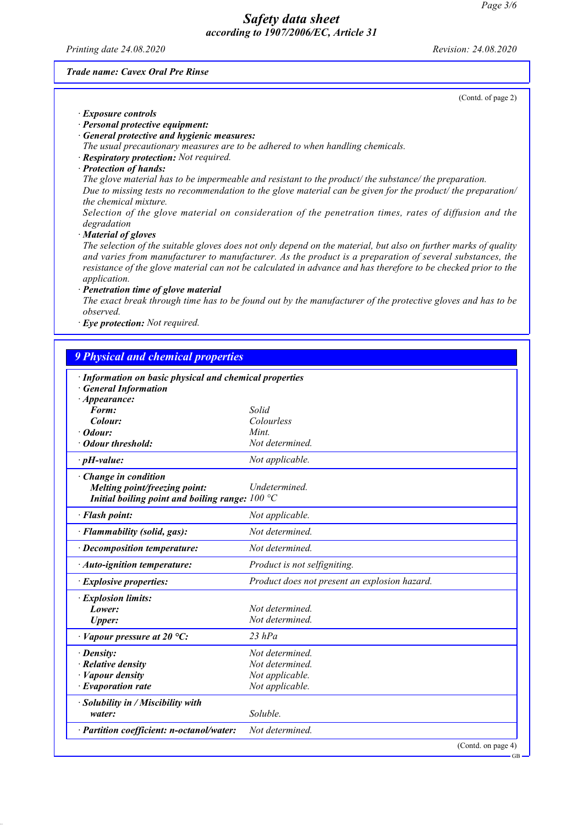*Printing date 24.08.2020 Revision: 24.08.2020*

### *Trade name: Cavex Oral Pre Rinse*

|                                                         | (Contd. of page 2)                                                                                                                                                                                                                                                                                                                            |
|---------------------------------------------------------|-----------------------------------------------------------------------------------------------------------------------------------------------------------------------------------------------------------------------------------------------------------------------------------------------------------------------------------------------|
| <b>Exposure controls</b>                                |                                                                                                                                                                                                                                                                                                                                               |
| · Personal protective equipment:                        |                                                                                                                                                                                                                                                                                                                                               |
| · General protective and hygienic measures:             |                                                                                                                                                                                                                                                                                                                                               |
|                                                         | The usual precautionary measures are to be adhered to when handling chemicals.                                                                                                                                                                                                                                                                |
| · Respiratory protection: Not required.                 |                                                                                                                                                                                                                                                                                                                                               |
| · Protection of hands:                                  |                                                                                                                                                                                                                                                                                                                                               |
| the chemical mixture.                                   | The glove material has to be impermeable and resistant to the product/ the substance/ the preparation.<br>Due to missing tests no recommendation to the glove material can be given for the product/ the preparation/                                                                                                                         |
| degradation                                             | Selection of the glove material on consideration of the penetration times, rates of diffusion and the                                                                                                                                                                                                                                         |
| · Material of gloves                                    |                                                                                                                                                                                                                                                                                                                                               |
| application.                                            | The selection of the suitable gloves does not only depend on the material, but also on further marks of quality<br>and varies from manufacturer to manufacturer. As the product is a preparation of several substances, the<br>resistance of the glove material can not be calculated in advance and has therefore to be checked prior to the |
| · Penetration time of glove material                    |                                                                                                                                                                                                                                                                                                                                               |
| observed.                                               | The exact break through time has to be found out by the manufacturer of the protective gloves and has to be                                                                                                                                                                                                                                   |
| · Eye protection: Not required.                         |                                                                                                                                                                                                                                                                                                                                               |
|                                                         |                                                                                                                                                                                                                                                                                                                                               |
| <b>9 Physical and chemical properties</b>               |                                                                                                                                                                                                                                                                                                                                               |
|                                                         |                                                                                                                                                                                                                                                                                                                                               |
| · Information on basic physical and chemical properties |                                                                                                                                                                                                                                                                                                                                               |
| <b>General Information</b>                              |                                                                                                                                                                                                                                                                                                                                               |
| $\cdot$ Appearance:<br>Form:                            | Solid                                                                                                                                                                                                                                                                                                                                         |
|                                                         | Colourless                                                                                                                                                                                                                                                                                                                                    |
| Colour:                                                 | $\mathbf{r}$                                                                                                                                                                                                                                                                                                                                  |

| <b>General Information</b>                               |                                               |
|----------------------------------------------------------|-----------------------------------------------|
| $\cdot$ Appearance:                                      |                                               |
| Form:                                                    | Solid                                         |
| Colour:                                                  | Colourless                                    |
| $\cdot$ Odour:                                           | Mint.                                         |
| • Odour threshold:                                       | Not determined.                               |
| $\cdot$ pH-value:                                        | Not applicable.                               |
| Change in condition                                      |                                               |
| Melting point/freezing point:                            | <b>Undetermined</b>                           |
| Initial boiling point and boiling range: $100^{\circ}$ C |                                               |
| · Flash point:                                           | Not applicable.                               |
| · Flammability (solid, gas):                             | Not determined.                               |
| $\cdot$ Decomposition temperature:                       | Not determined.                               |
| · Auto-ignition temperature:                             | Product is not selfigniting.                  |
| $\cdot$ Explosive properties:                            | Product does not present an explosion hazard. |
| · Explosion limits:                                      |                                               |
| Lower:                                                   | Not determined.                               |
| <b>Upper:</b>                                            | Not determined.                               |
| $\cdot$ Vapour pressure at 20 °C:                        | $23$ hPa                                      |
| · Density:                                               | Not determined.                               |
| $\cdot$ Relative density                                 | Not determined.                               |
| $\cdot$ <i>Vapour density</i>                            | Not applicable.                               |
| $\cdot$ Evaporation rate                                 | Not applicable.                               |
| · Solubility in / Miscibility with                       |                                               |
| water:                                                   | Soluble.                                      |
| · Partition coefficient: n-octanol/water:                | Not determined.                               |
|                                                          | (Contd. on page 4)                            |

page 2)

GB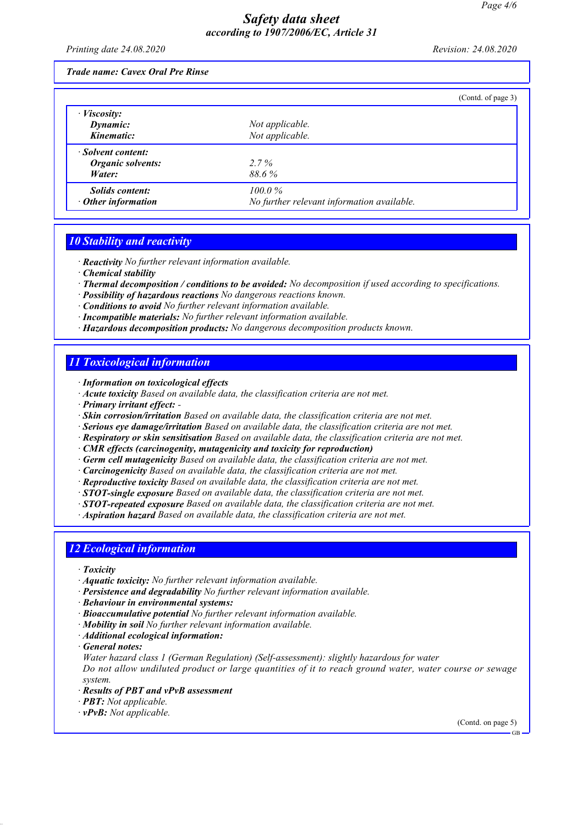*Printing date 24.08.2020 Revision: 24.08.2020*

*Trade name: Cavex Oral Pre Rinse*

|                           |                                            | (Contd. of page 3) |
|---------------------------|--------------------------------------------|--------------------|
| $\cdot$ <i>Viscosity:</i> |                                            |                    |
| Dynamic:                  | Not applicable.                            |                    |
| Kinematic:                | Not applicable.                            |                    |
| · Solvent content:        |                                            |                    |
| Organic solvents:         | 2.7%                                       |                    |
| Water:                    | 88.6%                                      |                    |
| <i>Solids content:</i>    | $100.0\%$                                  |                    |
| $\cdot$ Other information | No further relevant information available. |                    |

### *10 Stability and reactivity*

*· Reactivity No further relevant information available.*

- *· Chemical stability*
- *· Thermal decomposition / conditions to be avoided: No decomposition if used according to specifications.*
- *· Possibility of hazardous reactions No dangerous reactions known.*
- *· Conditions to avoid No further relevant information available.*
- *· Incompatible materials: No further relevant information available.*
- *· Hazardous decomposition products: No dangerous decomposition products known.*

### *11 Toxicological information*

*· Information on toxicological effects*

- *· Acute toxicity Based on available data, the classification criteria are not met.*
- *· Primary irritant effect:*
- *· Skin corrosion/irritation Based on available data, the classification criteria are not met.*
- *· Serious eye damage/irritation Based on available data, the classification criteria are not met.*
- *· Respiratory or skin sensitisation Based on available data, the classification criteria are not met.*
- *· CMR effects (carcinogenity, mutagenicity and toxicity for reproduction)*
- *· Germ cell mutagenicity Based on available data, the classification criteria are not met.*
- *· Carcinogenicity Based on available data, the classification criteria are not met.*
- *· Reproductive toxicity Based on available data, the classification criteria are not met.*
- *· STOT-single exposure Based on available data, the classification criteria are not met.*
- *· STOT-repeated exposure Based on available data, the classification criteria are not met.*
- *· Aspiration hazard Based on available data, the classification criteria are not met.*

### *12 Ecological information*

- *· Toxicity*
- *· Aquatic toxicity: No further relevant information available.*
- *· Persistence and degradability No further relevant information available.*
- *· Behaviour in environmental systems:*
- *· Bioaccumulative potential No further relevant information available.*
- *· Mobility in soil No further relevant information available.*
- *· Additional ecological information:*
- *· General notes:*

*Water hazard class 1 (German Regulation) (Self-assessment): slightly hazardous for water Do not allow undiluted product or large quantities of it to reach ground water, water course or sewage system.*

- *· Results of PBT and vPvB assessment*
- *· PBT: Not applicable.*
- *· vPvB: Not applicable.*

(Contd. on page 5)

GB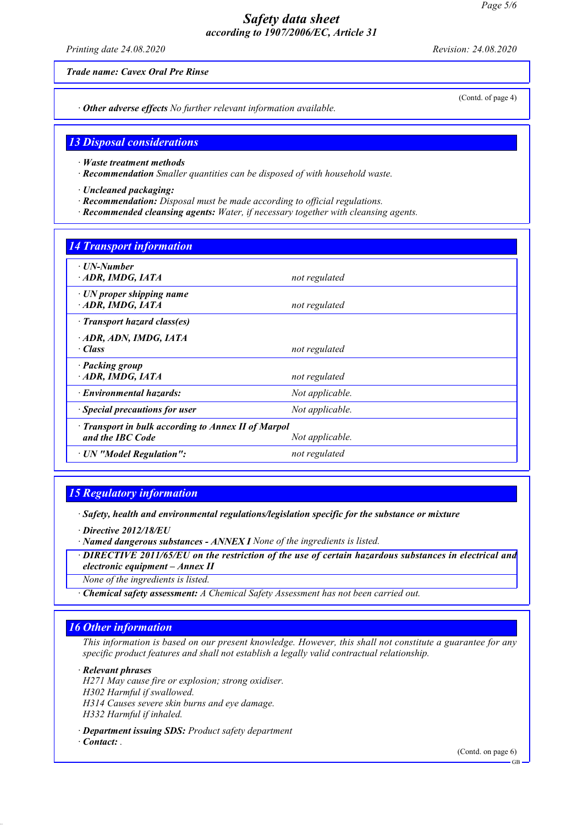*Printing date 24.08.2020 Revision: 24.08.2020*

*Trade name: Cavex Oral Pre Rinse*

(Contd. of page 4)

*· Other adverse effects No further relevant information available.*

### *13 Disposal considerations*

- *· Waste treatment methods*
- *· Recommendation Smaller quantities can be disposed of with household waste.*
- *· Uncleaned packaging:*
- *· Recommendation: Disposal must be made according to official regulations.*
- *· Recommended cleansing agents: Water, if necessary together with cleansing agents.*

### *14 Transport information*

| $\cdot$ UN-Number<br>$\cdot$ ADR, IMDG, IATA                                               | not regulated   |  |
|--------------------------------------------------------------------------------------------|-----------------|--|
| $\cdot$ UN proper shipping name<br>ADR, IMDG, IATA                                         | not regulated   |  |
| · Transport hazard class(es)                                                               |                 |  |
| ADR, ADN, IMDG, IATA<br>· Class                                                            | not regulated   |  |
| · Packing group<br>$\cdot$ ADR, IMDG, IATA                                                 | not regulated   |  |
| · Environmental hazards:                                                                   | Not applicable. |  |
| $\cdot$ Special precautions for user                                                       | Not applicable. |  |
| · Transport in bulk according to Annex II of Marpol<br>and the IBC Code<br>Not applicable. |                 |  |
| · UN "Model Regulation":                                                                   | not regulated   |  |

### *15 Regulatory information*

- *· Directive 2012/18/EU*
- *· Named dangerous substances ANNEX I None of the ingredients is listed.*
- *· DIRECTIVE 2011/65/EU on the restriction of the use of certain hazardous substances in electrical and electronic equipment – Annex II*

*None of the ingredients is listed.*

*· Chemical safety assessment: A Chemical Safety Assessment has not been carried out.*

### *16 Other information*

*This information is based on our present knowledge. However, this shall not constitute a guarantee for any specific product features and shall not establish a legally valid contractual relationship.*

*· Relevant phrases*

*H271 May cause fire or explosion; strong oxidiser. H302 Harmful if swallowed. H314 Causes severe skin burns and eye damage. H332 Harmful if inhaled.*

*· Department issuing SDS: Product safety department*

*· Contact: .* 

(Contd. on page 6)

*<sup>·</sup> Safety, health and environmental regulations/legislation specific for the substance or mixture*

GB